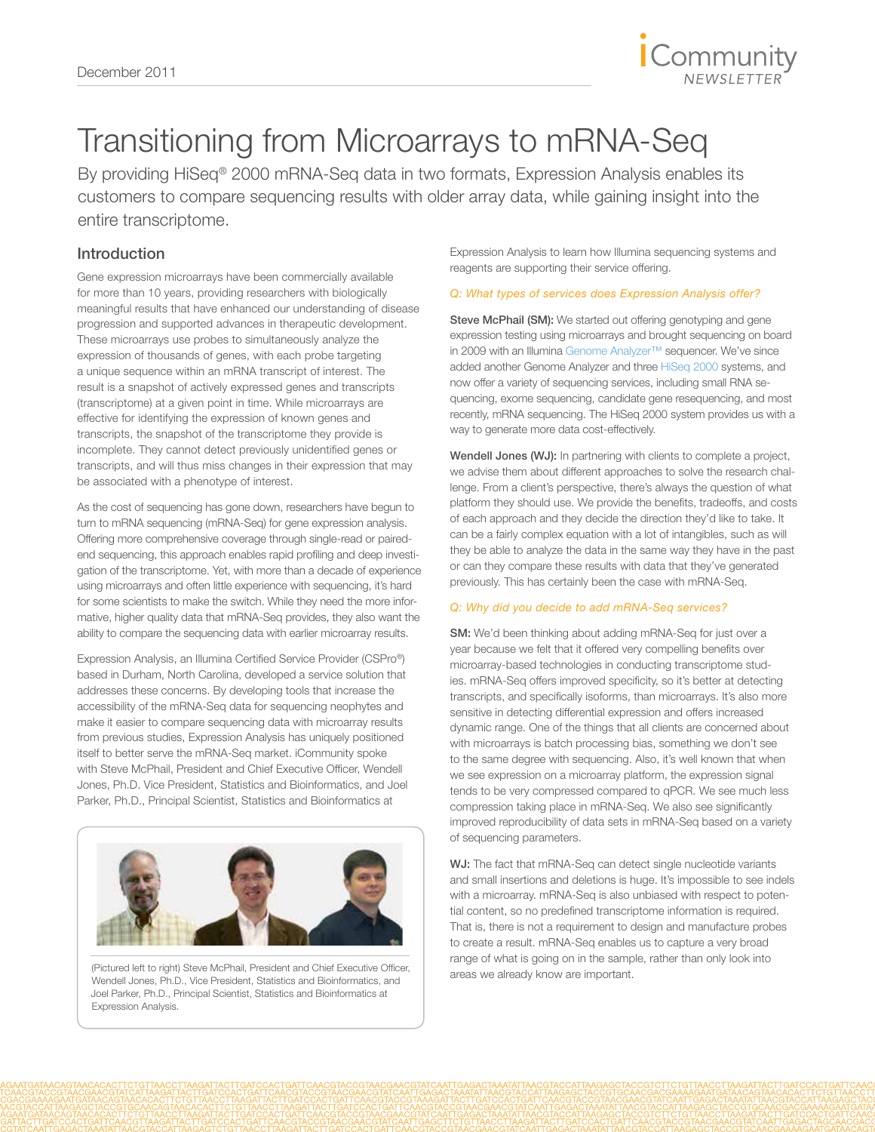

# Transitioning from Microarrays to mRNA-Seq

By providing HiSeq<sup>®</sup> 2000 mRNA-Seq data in two formats, Expression Analysis enables its customers to compare sequencing results with older array data, while gaining insight into the entire transcriptome.

# Introduction

Gene expression microarrays have been commercially available for more than 10 years, providing researchers with biologically meaningful results that have enhanced our understanding of disease progression and supported advances in therapeutic development. These microarrays use probes to simultaneously analyze the expression of thousands of genes, with each probe targeting a unique sequence within an mRNA transcript of interest. The result is a snapshot of actively expressed genes and transcripts (transcriptome) at a given point in time. While microarrays are effective for identifying the expression of known genes and transcripts, the snapshot of the transcriptome they provide is incomplete. They cannot detect previously unidentified genes or transcripts, and will thus miss changes in their expression that may be associated with a phenotype of interest.

As the cost of sequencing has gone down, researchers have begun to turn to mRNA sequencing (mRNA-Seq) for gene expression analysis. Offering more comprehensive coverage through single-read or pairedend sequencing, this approach enables rapid profiling and deep investigation of the transcriptome. Yet, with more than a decade of experience using microarrays and often little experience with sequencing, it's hard for some scientists to make the switch. While they need the more informative, higher quality data that mRNA-Seq provides, they also want the ability to compare the sequencing data with earlier microarray results.

Expression Analysis, an Illumina Certified Service Provider (CSPro®) based in Durham, North Carolina, developed a service solution that addresses these concerns. By developing tools that increase the accessibility of the mRNA-Seq data for sequencing neophytes and make it easier to compare sequencing data with microarray results from previous studies, Expression Analysis has uniquely positioned itself to better serve the mRNA-Seq market. iCommunity spoke with Steve McPhail, President and Chief Executive Officer, Wendell Jones, Ph.D. Vice President, Statistics and Bioinformatics, and Joel Parker, Ph.D., Principal Scientist, Statistics and Bioinformatics at



(Pictured left to right) Steve McPhail, President and Chief Executive Officer, Wendell Jones, Ph.D., Vice President, Statistics and Bioinformatics, and Joel Parker, Ph.D., Principal Scientist, Statistics and Bioinformatics at Expression Analysis.

Expression Analysis to learn how Illumina sequencing systems and reagents are supporting their service offering.

# *Q: What types of services does Expression Analysis offer?*

Steve McPhail (SM): We started out offering genotyping and gene expression testing using microarrays and brought sequencing on board in 2009 with an Illumina Genome Analyzer™ sequencer. We've since added another Genome Analyzer and three HiSeq 2000 systems, and now offer a variety of sequencing services, including small RNA sequencing, exome sequencing, candidate gene resequencing, and most recently, mRNA sequencing. The HiSeq 2000 system provides us with a way to generate more data cost-effectively.

Wendell Jones (WJ): In partnering with clients to complete a project, we advise them about different approaches to solve the research challenge. From a client's perspective, there's always the question of what platform they should use. We provide the benefits, tradeoffs, and costs of each approach and they decide the direction they'd like to take. It can be a fairly complex equation with a lot of intangibles, such as will they be able to analyze the data in the same way they have in the past or can they compare these results with data that they've generated previously. This has certainly been the case with mRNA-Seq.

# *Q: Why did you decide to add mRNA-Seq services?*

SM: We'd been thinking about adding mRNA-Seq for just over a year because we felt that it offered very compelling benefits over microarray-based technologies in conducting transcriptome studies. mRNA-Seq offers improved specificity, so it's better at detecting transcripts, and specifically isoforms, than microarrays. It's also more sensitive in detecting differential expression and offers increased dynamic range. One of the things that all clients are concerned about with microarrays is batch processing bias, something we don't see to the same degree with sequencing. Also, it's well known that when we see expression on a microarray platform, the expression signal tends to be very compressed compared to qPCR. We see much less compression taking place in mRNA-Seq. We also see significantly improved reproducibility of data sets in mRNA-Seq based on a variety of sequencing parameters.

WJ: The fact that mRNA-Seq can detect single nucleotide variants and small insertions and deletions is huge. It's impossible to see indels with a microarray. mRNA-Seq is also unbiased with respect to potential content, so no predefined transcriptome information is required. That is, there is not a requirement to design and manufacture probes to create a result. mRNA-Seq enables us to capture a very broad range of what is going on in the sample, rather than only look into areas we already know are important.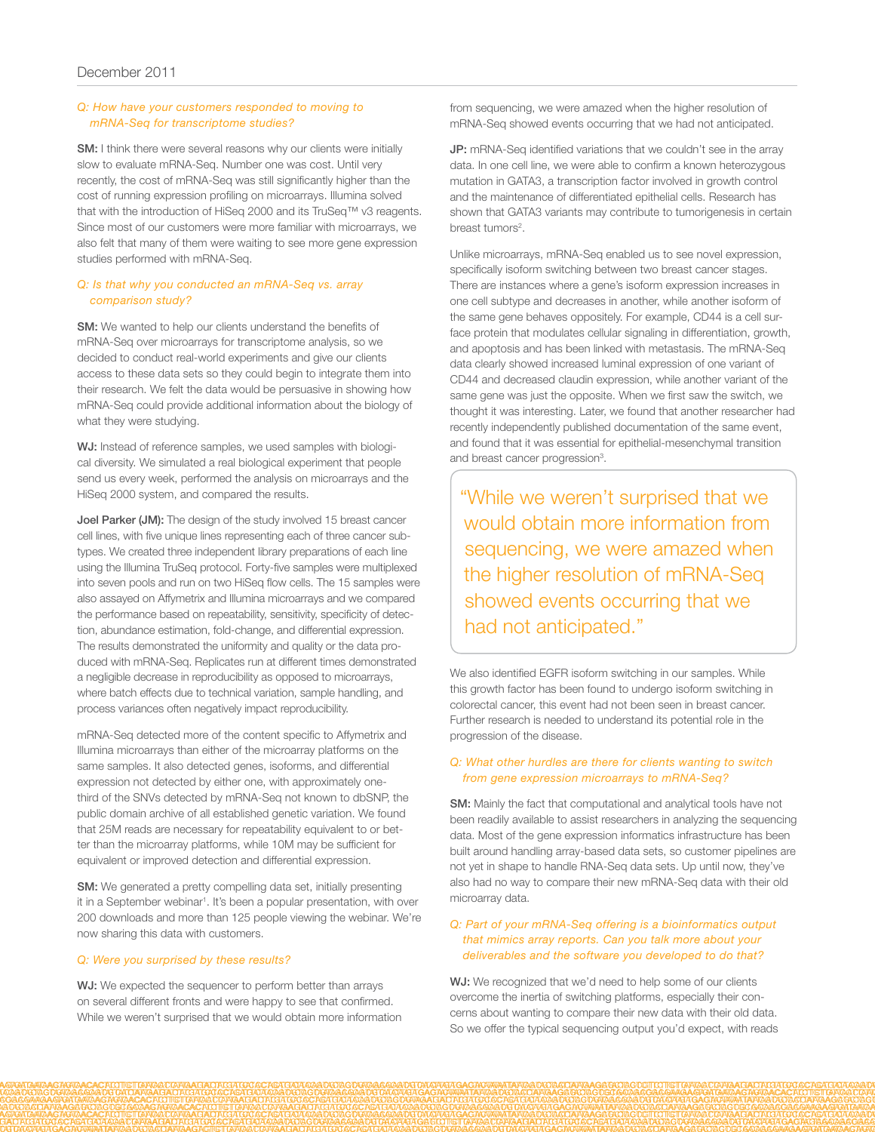#### *Q: How have your customers responded to moving to mRNA-Seq for transcriptome studies?*

SM: I think there were several reasons why our clients were initially slow to evaluate mRNA-Seq. Number one was cost. Until very recently, the cost of mRNA-Seq was still significantly higher than the cost of running expression profiling on microarrays. Illumina solved that with the introduction of HiSeq 2000 and its TruSeq™ v3 reagents. Since most of our customers were more familiar with microarrays, we also felt that many of them were waiting to see more gene expression studies performed with mRNA-Seq.

### *Q: Is that why you conducted an mRNA-Seq vs. array comparison study?*

**SM:** We wanted to help our clients understand the benefits of mRNA-Seq over microarrays for transcriptome analysis, so we decided to conduct real-world experiments and give our clients access to these data sets so they could begin to integrate them into their research. We felt the data would be persuasive in showing how mRNA-Seq could provide additional information about the biology of what they were studying.

WJ: Instead of reference samples, we used samples with biological diversity. We simulated a real biological experiment that people send us every week, performed the analysis on microarrays and the HiSeq 2000 system, and compared the results.

Joel Parker (JM): The design of the study involved 15 breast cancer cell lines, with five unique lines representing each of three cancer subtypes. We created three independent library preparations of each line using the Illumina TruSeq protocol. Forty-five samples were multiplexed into seven pools and run on two HiSeq flow cells. The 15 samples were also assayed on Affymetrix and Illumina microarrays and we compared the performance based on repeatability, sensitivity, specificity of detection, abundance estimation, fold-change, and differential expression. The results demonstrated the uniformity and quality or the data produced with mRNA-Seq. Replicates run at different times demonstrated a negligible decrease in reproducibility as opposed to microarrays, where batch effects due to technical variation, sample handling, and process variances often negatively impact reproducibility.

mRNA-Seq detected more of the content specific to Affymetrix and Illumina microarrays than either of the microarray platforms on the same samples. It also detected genes, isoforms, and differential expression not detected by either one, with approximately onethird of the SNVs detected by mRNA-Seq not known to dbSNP, the public domain archive of all established genetic variation. We found that 25M reads are necessary for repeatability equivalent to or better than the microarray platforms, while 10M may be sufficient for equivalent or improved detection and differential expression.

SM: We generated a pretty compelling data set, initially presenting it in a September webinar<sup>1</sup>. It's been a popular presentation, with over 200 downloads and more than 125 people viewing the webinar. We're now sharing this data with customers.

#### *Q: Were you surprised by these results?*

WJ: We expected the sequencer to perform better than arrays on several different fronts and were happy to see that confirmed. While we weren't surprised that we would obtain more information from sequencing, we were amazed when the higher resolution of mRNA-Seq showed events occurring that we had not anticipated.

JP: mRNA-Seq identified variations that we couldn't see in the array data. In one cell line, we were able to confirm a known heterozygous mutation in GATA3, a transcription factor involved in growth control and the maintenance of differentiated epithelial cells. Research has shown that GATA3 variants may contribute to tumorigenesis in certain breast tumors<sup>2</sup>.

Unlike microarrays, mRNA-Seq enabled us to see novel expression, specifically isoform switching between two breast cancer stages. There are instances where a gene's isoform expression increases in one cell subtype and decreases in another, while another isoform of the same gene behaves oppositely. For example, CD44 is a cell surface protein that modulates cellular signaling in differentiation, growth, and apoptosis and has been linked with metastasis. The mRNA-Seq data clearly showed increased luminal expression of one variant of CD44 and decreased claudin expression, while another variant of the same gene was just the opposite. When we first saw the switch, we thought it was interesting. Later, we found that another researcher had recently independently published documentation of the same event, and found that it was essential for epithelial-mesenchymal transition and breast cancer progression<sup>3</sup>.

"While we weren't surprised that we would obtain more information from sequencing, we were amazed when the higher resolution of mRNA-Seq showed events occurring that we had not anticipated."

We also identified EGFR isoform switching in our samples. While this growth factor has been found to undergo isoform switching in colorectal cancer, this event had not been seen in breast cancer. Further research is needed to understand its potential role in the progression of the disease.

#### *Q: What other hurdles are there for clients wanting to switch from gene expression microarrays to mRNA-Seq?*

SM: Mainly the fact that computational and analytical tools have not been readily available to assist researchers in analyzing the sequencing data. Most of the gene expression informatics infrastructure has been built around handling array-based data sets, so customer pipelines are not yet in shape to handle RNA-Seq data sets. Up until now, they've also had no way to compare their new mRNA-Seq data with their old microarray data.

#### *Q: Part of your mRNA-Seq offering is a bioinformatics output that mimics array reports. Can you talk more about your deliverables and the software you developed to do that?*

WJ: We recognized that we'd need to help some of our clients overcome the inertia of switching platforms, especially their concerns about wanting to compare their new data with their old data. So we offer the typical sequencing output you'd expect, with reads